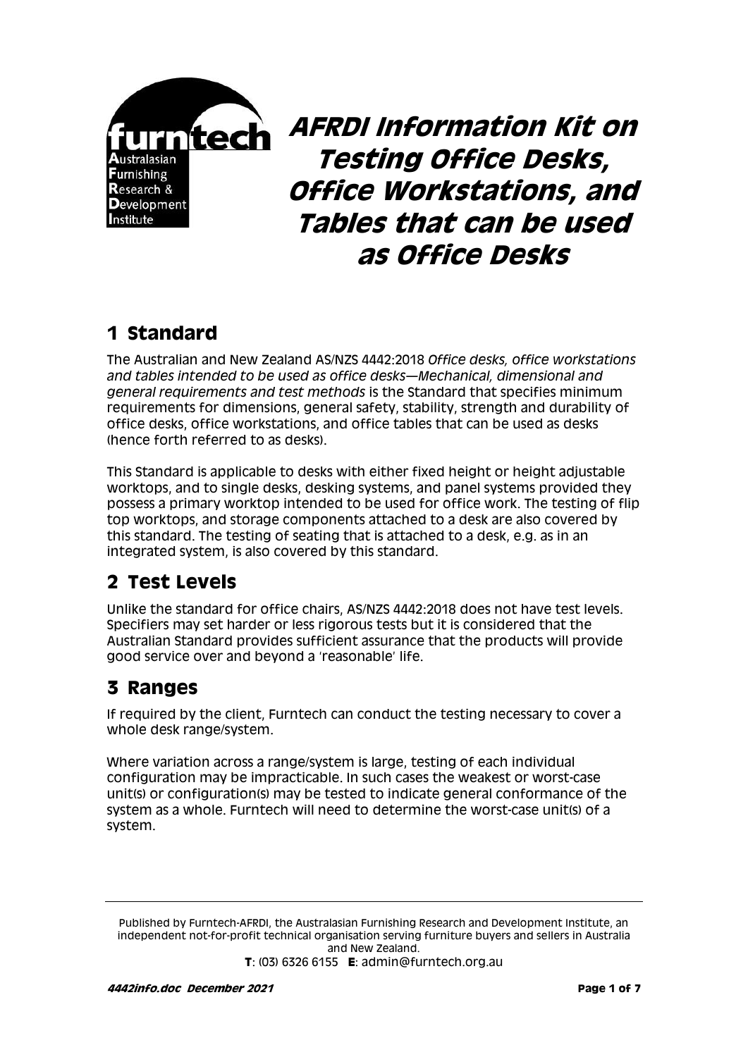

**AFRDI Information Kit on Testing Office Desks, Office Workstations, and Tables that can be used as Office Desks**

## **1 Standard**

The Australian and New Zealand AS/NZS 4442:2018 *Office desks, office workstations and tables intended to be used as office desks—Mechanical, dimensional and general requirements and test methods* is the Standard that specifies minimum requirements for dimensions, general safety, stability, strength and durability of office desks, office workstations, and office tables that can be used as desks (hence forth referred to as desks).

This Standard is applicable to desks with either fixed height or height adjustable worktops, and to single desks, desking systems, and panel systems provided they possess a primary worktop intended to be used for office work. The testing of flip top worktops, and storage components attached to a desk are also covered by this standard. The testing of seating that is attached to a desk, e.g. as in an integrated system, is also covered by this standard.

### **2 Test Levels**

Unlike the standard for office chairs, AS/NZS 4442:2018 does not have test levels. Specifiers may set harder or less rigorous tests but it is considered that the Australian Standard provides sufficient assurance that the products will provide good service over and beyond a 'reasonable' life.

## **3 Ranges**

If required by the client, Furntech can conduct the testing necessary to cover a whole desk range/system.

Where variation across a range/system is large, testing of each individual configuration may be impracticable. In such cases the weakest or worst-case unit(s) or configuration(s) may be tested to indicate general conformance of the system as a whole. Furntech will need to determine the worst-case unit(s) of a system.

Published by Furntech-AFRDI, the Australasian Furnishing Research and Development Institute, an independent not-for-profit technical organisation serving furniture buyers and sellers in Australia and New Zealand.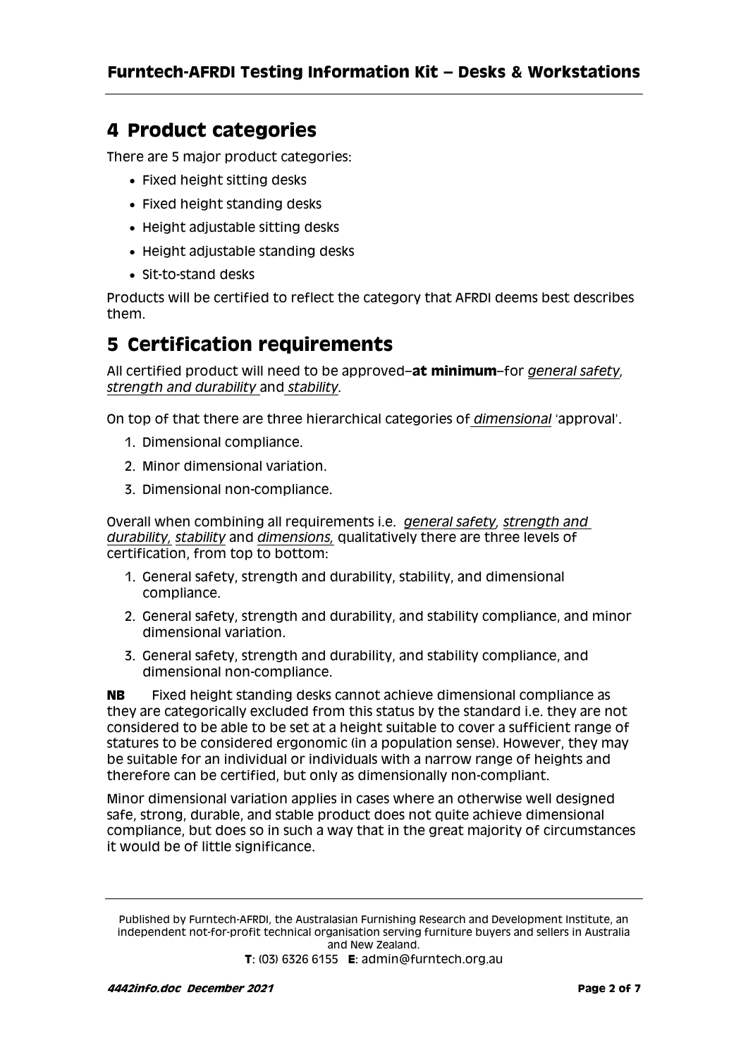### **4 Product categories**

There are 5 major product categories:

- Fixed height sitting desks
- Fixed height standing desks
- Height adjustable sitting desks
- Height adjustable standing desks
- Sit-to-stand desks

Products will be certified to reflect the category that AFRDI deems best describes them.

### **5 Certification requirements**

All certified product will need to be approved–**at minimum**–for *general safety, strength and durability* and *stability.*

On top of that there are three hierarchical categories of *dimensional* 'approval'.

- 1. Dimensional compliance.
- 2. Minor dimensional variation.
- 3. Dimensional non-compliance.

Overall when combining all requirements i.e. *general safety, strength and durability, stability* and *dimensions,* qualitatively there are three levels of certification, from top to bottom:

- 1. General safety, strength and durability, stability, and dimensional compliance.
- 2. General safety, strength and durability, and stability compliance, and minor dimensional variation.
- 3. General safety, strength and durability, and stability compliance, and dimensional non-compliance.

**NB** Fixed height standing desks cannot achieve dimensional compliance as they are categorically excluded from this status by the standard i.e. they are not considered to be able to be set at a height suitable to cover a sufficient range of statures to be considered ergonomic (in a population sense). However, they may be suitable for an individual or individuals with a narrow range of heights and therefore can be certified, but only as dimensionally non-compliant.

Minor dimensional variation applies in cases where an otherwise well designed safe, strong, durable, and stable product does not quite achieve dimensional compliance, but does so in such a way that in the great majority of circumstances it would be of little significance.

Published by Furntech-AFRDI, the Australasian Furnishing Research and Development Institute, an independent not-for-profit technical organisation serving furniture buyers and sellers in Australia and New Zealand.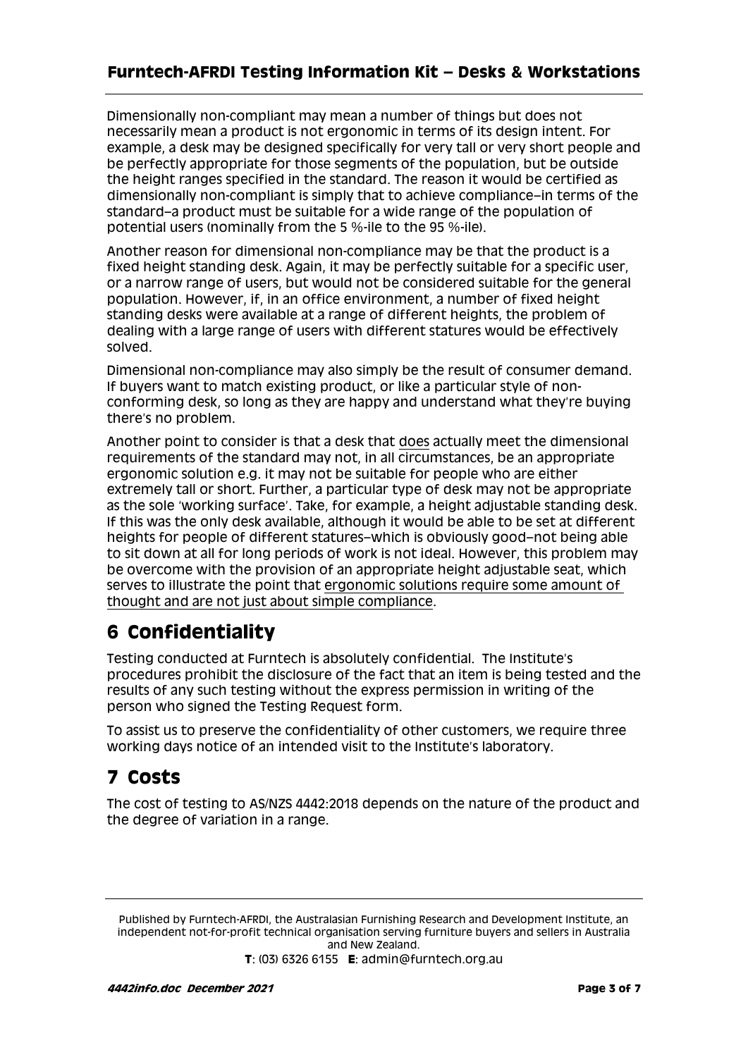Dimensionally non-compliant may mean a number of things but does not necessarily mean a product is not ergonomic in terms of its design intent. For example, a desk may be designed specifically for very tall or very short people and be perfectly appropriate for those segments of the population, but be outside the height ranges specified in the standard. The reason it would be certified as dimensionally non-compliant is simply that to achieve compliance–in terms of the standard–a product must be suitable for a wide range of the population of potential users (nominally from the 5 %-ile to the 95 %-ile).

Another reason for dimensional non-compliance may be that the product is a fixed height standing desk. Again, it may be perfectly suitable for a specific user, or a narrow range of users, but would not be considered suitable for the general population. However, if, in an office environment, a number of fixed height standing desks were available at a range of different heights, the problem of dealing with a large range of users with different statures would be effectively solved.

Dimensional non-compliance may also simply be the result of consumer demand. If buyers want to match existing product, or like a particular style of nonconforming desk, so long as they are happy and understand what they're buying there's no problem.

Another point to consider is that a desk that does actually meet the dimensional requirements of the standard may not, in all circumstances, be an appropriate ergonomic solution e.g. it may not be suitable for people who are either extremely tall or short. Further, a particular type of desk may not be appropriate as the sole 'working surface'. Take, for example, a height adjustable standing desk. If this was the only desk available, although it would be able to be set at different heights for people of different statures–which is obviously good–not being able to sit down at all for long periods of work is not ideal. However, this problem may be overcome with the provision of an appropriate height adjustable seat, which serves to illustrate the point that ergonomic solutions require some amount of thought and are not just about simple compliance.

# **6 Confidentiality**

Testing conducted at Furntech is absolutely confidential. The Institute's procedures prohibit the disclosure of the fact that an item is being tested and the results of any such testing without the express permission in writing of the person who signed the Testing Request form.

To assist us to preserve the confidentiality of other customers, we require three working days notice of an intended visit to the Institute's laboratory.

# **7 Costs**

The cost of testing to AS/NZS 4442:2018 depends on the nature of the product and the degree of variation in a range.

Published by Furntech-AFRDI, the Australasian Furnishing Research and Development Institute, an independent not-for-profit technical organisation serving furniture buyers and sellers in Australia and New Zealand.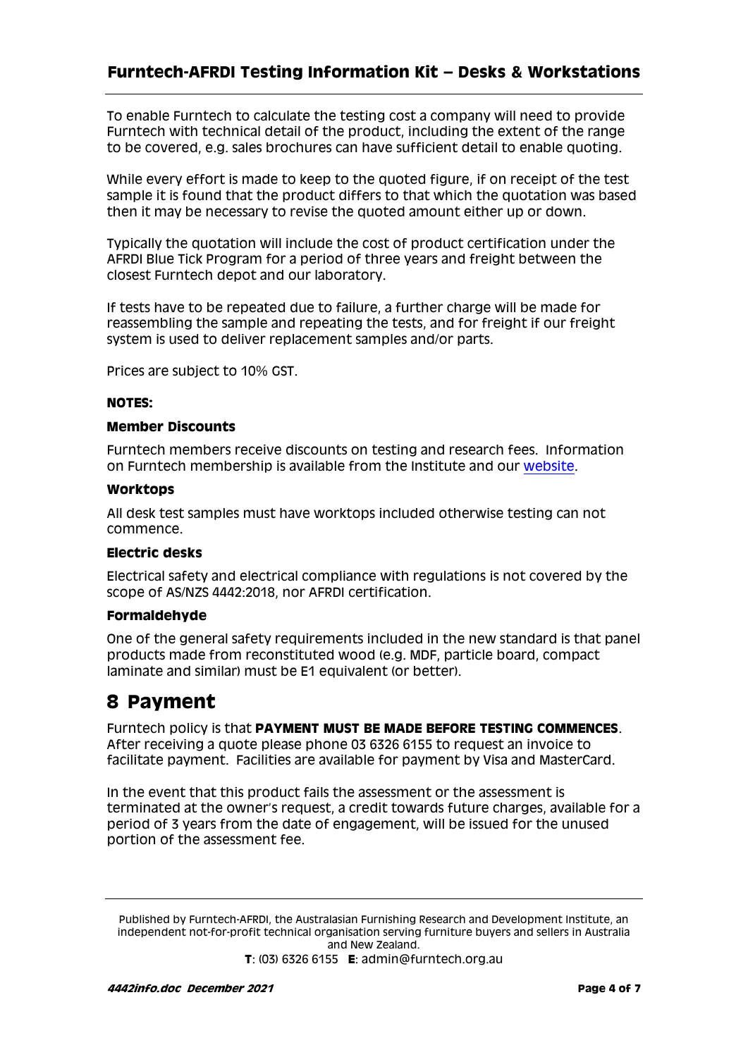To enable Furntech to calculate the testing cost a company will need to provide Furntech with technical detail of the product, including the extent of the range to be covered, e.g. sales brochures can have sufficient detail to enable quoting.

While every effort is made to keep to the quoted figure, if on receipt of the test sample it is found that the product differs to that which the quotation was based then it may be necessary to revise the quoted amount either up or down.

Typically the quotation will include the cost of product certification under the AFRDI Blue Tick Program for a period of three years and freight between the closest Furntech depot and our laboratory.

If tests have to be repeated due to failure, a further charge will be made for reassembling the sample and repeating the tests, and for freight if our freight system is used to deliver replacement samples and/or parts.

Prices are subject to 10% GST.

#### **NOTES:**

#### **Member Discounts**

Furntech members receive discounts on testing and research fees. Information on Furntech membership is available from the Institute and our [website.](http://www.furntech.org.au/pdf/Corporate/MembershipInformation/Membform.pdf?&MMN_position=13:13)

#### **Worktops**

All desk test samples must have worktops included otherwise testing can not commence.

#### **Electric desks**

Electrical safety and electrical compliance with regulations is not covered by the scope of AS/NZS 4442:2018, nor AFRDI certification.

#### **Formaldehyde**

One of the general safety requirements included in the new standard is that panel products made from reconstituted wood (e.g. MDF, particle board, compact laminate and similar) must be E1 equivalent (or better).

### **8 Payment**

Furntech policy is that **PAYMENT MUST BE MADE BEFORE TESTING COMMENCES**. After receiving a quote please phone 03 6326 6155 to request an invoice to facilitate payment. Facilities are available for payment by Visa and MasterCard.

In the event that this product fails the assessment or the assessment is terminated at the owner's request, a credit towards future charges, available for a period of 3 years from the date of engagement, will be issued for the unused portion of the assessment fee.

Published by Furntech-AFRDI, the Australasian Furnishing Research and Development Institute, an independent not-for-profit technical organisation serving furniture buyers and sellers in Australia and New Zealand.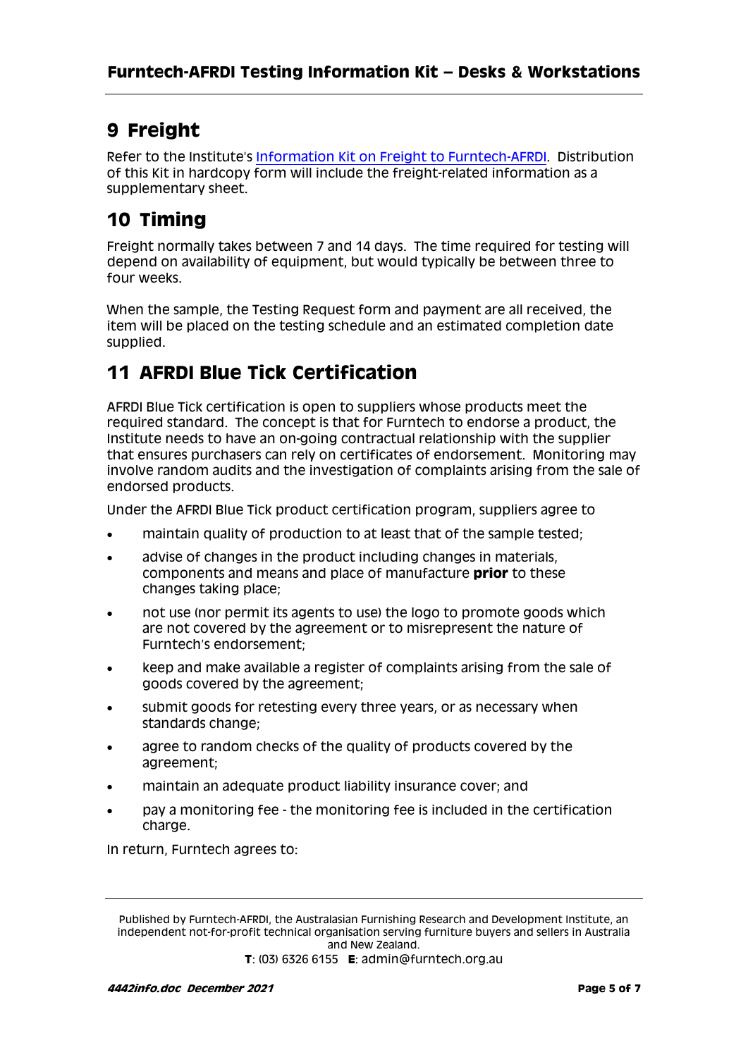## **9 Freight**

Refer to the Institute's [Information Kit on Freight to Furntech-AFRDI.](http://furntech.org.au/pdf/index.php?dir=Corporate/&file=FreightInfo.pdf) Distribution of this Kit in hardcopy form will include the freight-related information as a supplementary sheet.

## **10 Timing**

Freight normally takes between 7 and 14 days. The time required for testing will depend on availability of equipment, but would typically be between three to four weeks.

When the sample, the Testing Request form and payment are all received, the item will be placed on the testing schedule and an estimated completion date supplied.

## **11 AFRDI Blue Tick Certification**

AFRDI Blue Tick certification is open to suppliers whose products meet the required standard. The concept is that for Furntech to endorse a product, the Institute needs to have an on-going contractual relationship with the supplier that ensures purchasers can rely on certificates of endorsement. Monitoring may involve random audits and the investigation of complaints arising from the sale of endorsed products.

Under the AFRDI Blue Tick product certification program, suppliers agree to

- maintain quality of production to at least that of the sample tested;
- advise of changes in the product including changes in materials, components and means and place of manufacture **prior** to these changes taking place;
- not use (nor permit its agents to use) the logo to promote goods which are not covered by the agreement or to misrepresent the nature of Furntech's endorsement;
- keep and make available a register of complaints arising from the sale of goods covered by the agreement;
- submit goods for retesting every three years, or as necessary when standards change;
- agree to random checks of the quality of products covered by the agreement;
- maintain an adequate product liability insurance cover; and
- pay a monitoring fee the monitoring fee is included in the certification charge.

In return, Furntech agrees to:

Published by Furntech-AFRDI, the Australasian Furnishing Research and Development Institute, an independent not-for-profit technical organisation serving furniture buyers and sellers in Australia and New Zealand.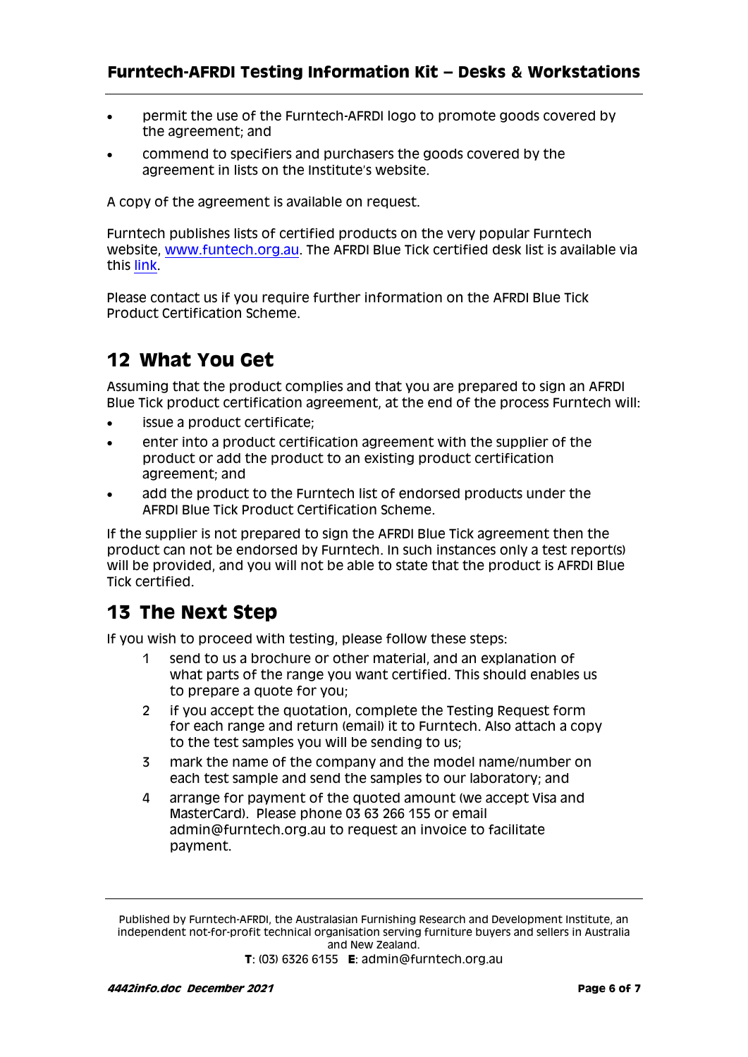- permit the use of the Furntech-AFRDI logo to promote goods covered by the agreement; and
- commend to specifiers and purchasers the goods covered by the agreement in lists on the Institute's website.

A copy of the agreement is available on request.

Furntech publishes lists of certified products on the very popular Furntech website, [www.funtech.org.au.](http://www.funtech.org.au/) The AFRDI Blue Tick certified desk list is available via this [link.](http://www.furntech.org.au/pdf/CommercialFurniture/OtherThanChairs/4442list.pdf)

Please contact us if you require further information on the AFRDI Blue Tick Product Certification Scheme.

### **12 What You Get**

Assuming that the product complies and that you are prepared to sign an AFRDI Blue Tick product certification agreement, at the end of the process Furntech will:

- issue a product certificate;
- enter into a product certification agreement with the supplier of the product or add the product to an existing product certification agreement; and
- add the product to the Furntech list of endorsed products under the AFRDI Blue Tick Product Certification Scheme.

If the supplier is not prepared to sign the AFRDI Blue Tick agreement then the product can not be endorsed by Furntech. In such instances only a test report(s) will be provided, and you will not be able to state that the product is AFRDI Blue Tick certified.

### **13 The Next Step**

If you wish to proceed with testing, please follow these steps:

- 1 send to us a brochure or other material, and an explanation of what parts of the range you want certified. This should enables us to prepare a quote for you;
- 2 if you accept the quotation, complete the Testing Request form for each range and return (email) it to Furntech. Also attach a copy to the test samples you will be sending to us;
- 3 mark the name of the company and the model name/number on each test sample and send the samples to our laboratory; and
- 4 arrange for payment of the quoted amount (we accept Visa and MasterCard). Please phone 03 63 266 155 or email [admin@furntech.org.au](mailto:admin@furntech.org.au) to request an invoice to facilitate payment.

Published by Furntech-AFRDI, the Australasian Furnishing Research and Development Institute, an independent not-for-profit technical organisation serving furniture buyers and sellers in Australia and New Zealand.